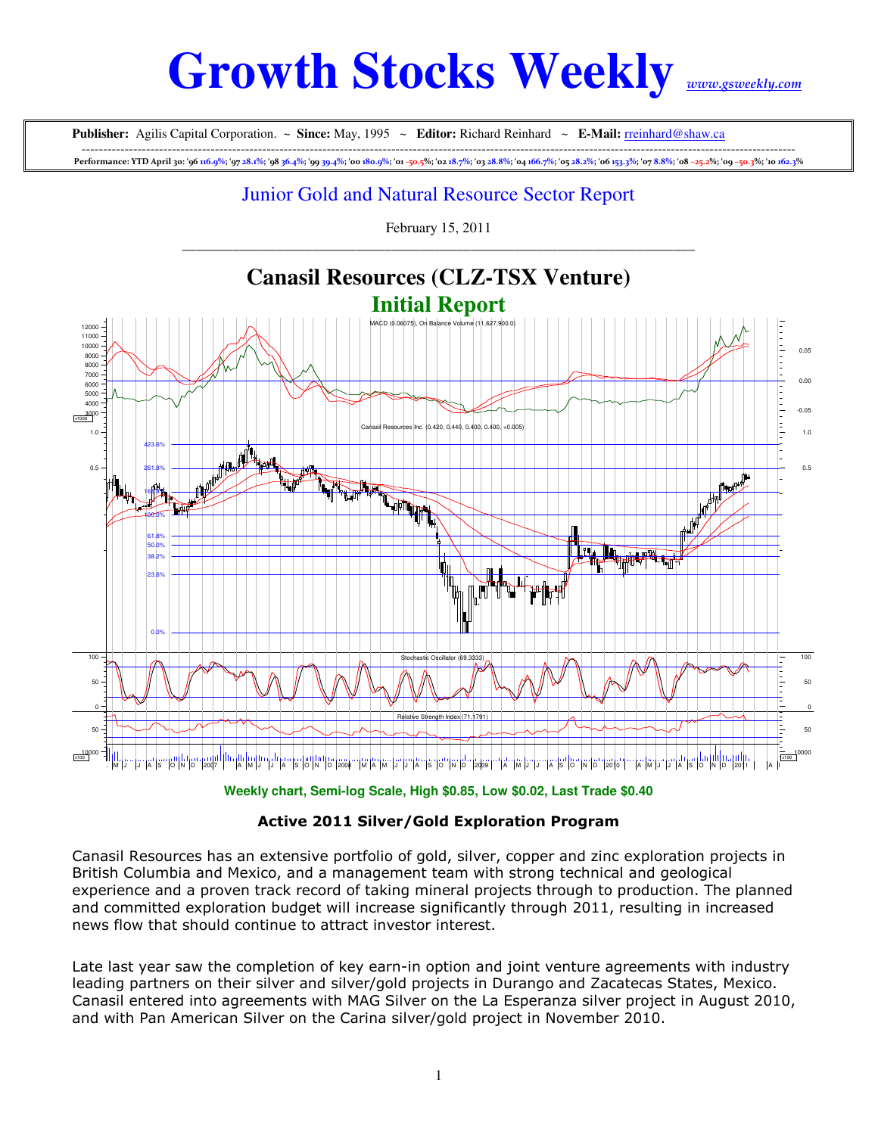# **Growth Stocks Weekly** www.gsweekly.com

**Publisher:** Agilis Capital Corporation. ~ **Since:** May, 1995 ~ **Editor:** Richard Reinhard ~ **E-Mail:** rreinhard@shaw.ca

---------------------------------------------------------------------------------------------------------------------------------------------------------------------- Performance: YTD April 30: '96 116.9%; '97 28.1%; '98 36.4%; '99 39.4%; '00 180.9%; '01 -50.5%; '02 18.7%; '03 28.8%; '04 166.7%; '05 28.2%; '06 153.3%; '07 8.8%; '08 –25.2%; '09 –50.3%; '10 162.3%

## Junior Gold and Natural Resource Sector Report

February 15, 2011 \_\_\_\_\_\_\_\_\_\_\_\_\_\_\_\_\_\_\_\_\_\_\_\_\_\_\_\_\_\_\_\_\_\_\_\_\_\_\_\_\_\_\_\_\_\_\_\_\_\_\_\_\_\_\_\_\_\_\_\_\_\_\_\_\_\_\_\_\_\_\_



**Weekly chart, Semi-log Scale, High \$0.85, Low \$0.02, Last Trade \$0.40** 

## Active 2011 Silver/Gold Exploration Program

Canasil Resources has an extensive portfolio of gold, silver, copper and zinc exploration projects in British Columbia and Mexico, and a management team with strong technical and geological experience and a proven track record of taking mineral projects through to production. The planned and committed exploration budget will increase significantly through 2011, resulting in increased news flow that should continue to attract investor interest.

Late last year saw the completion of key earn-in option and joint venture agreements with industry leading partners on their silver and silver/gold projects in Durango and Zacatecas States, Mexico. Canasil entered into agreements with MAG Silver on the La Esperanza silver project in August 2010, and with Pan American Silver on the Carina silver/gold project in November 2010.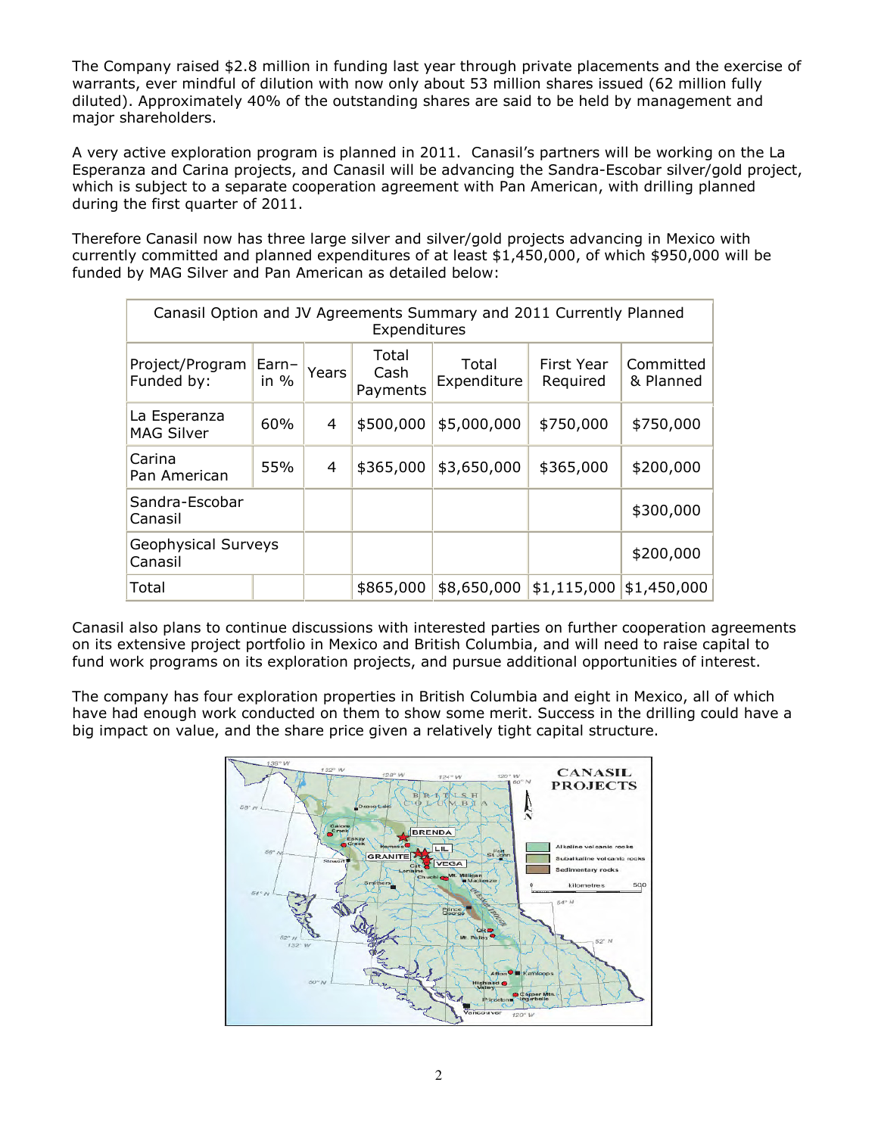The Company raised \$2.8 million in funding last year through private placements and the exercise of warrants, ever mindful of dilution with now only about 53 million shares issued (62 million fully diluted). Approximately 40% of the outstanding shares are said to be held by management and major shareholders.

A very active exploration program is planned in 2011. Canasil's partners will be working on the La Esperanza and Carina projects, and Canasil will be advancing the Sandra-Escobar silver/gold project, which is subject to a separate cooperation agreement with Pan American, with drilling planned during the first quarter of 2011.

Therefore Canasil now has three large silver and silver/gold projects advancing in Mexico with currently committed and planned expenditures of at least \$1,450,000, of which \$950,000 will be funded by MAG Silver and Pan American as detailed below:

| Canasil Option and JV Agreements Summary and 2011 Currently Planned<br>Expenditures |                 |       |                           |                      |                        |                        |  |
|-------------------------------------------------------------------------------------|-----------------|-------|---------------------------|----------------------|------------------------|------------------------|--|
| Project/Program<br>Funded by:                                                       | Earn-<br>in $%$ | Years | Total<br>Cash<br>Payments | Total<br>Expenditure | First Year<br>Required | Committed<br>& Planned |  |
| La Esperanza<br><b>MAG Silver</b>                                                   | 60%             | 4     | \$500,000                 | \$5,000,000          | \$750,000              | \$750,000              |  |
| Carina<br>Pan American                                                              | 55%             | 4     | \$365,000                 | \$3,650,000          | \$365,000              | \$200,000              |  |
| Sandra-Escobar<br>Canasil                                                           |                 |       |                           |                      |                        | \$300,000              |  |
| Geophysical Surveys<br>Canasil                                                      |                 |       |                           |                      |                        | \$200,000              |  |
| Total                                                                               |                 |       | \$865,000                 | \$8,650,000          | \$1,115,000            | \$1,450,000            |  |

Canasil also plans to continue discussions with interested parties on further cooperation agreements on its extensive project portfolio in Mexico and British Columbia, and will need to raise capital to fund work programs on its exploration projects, and pursue additional opportunities of interest.

The company has four exploration properties in British Columbia and eight in Mexico, all of which have had enough work conducted on them to show some merit. Success in the drilling could have a big impact on value, and the share price given a relatively tight capital structure.

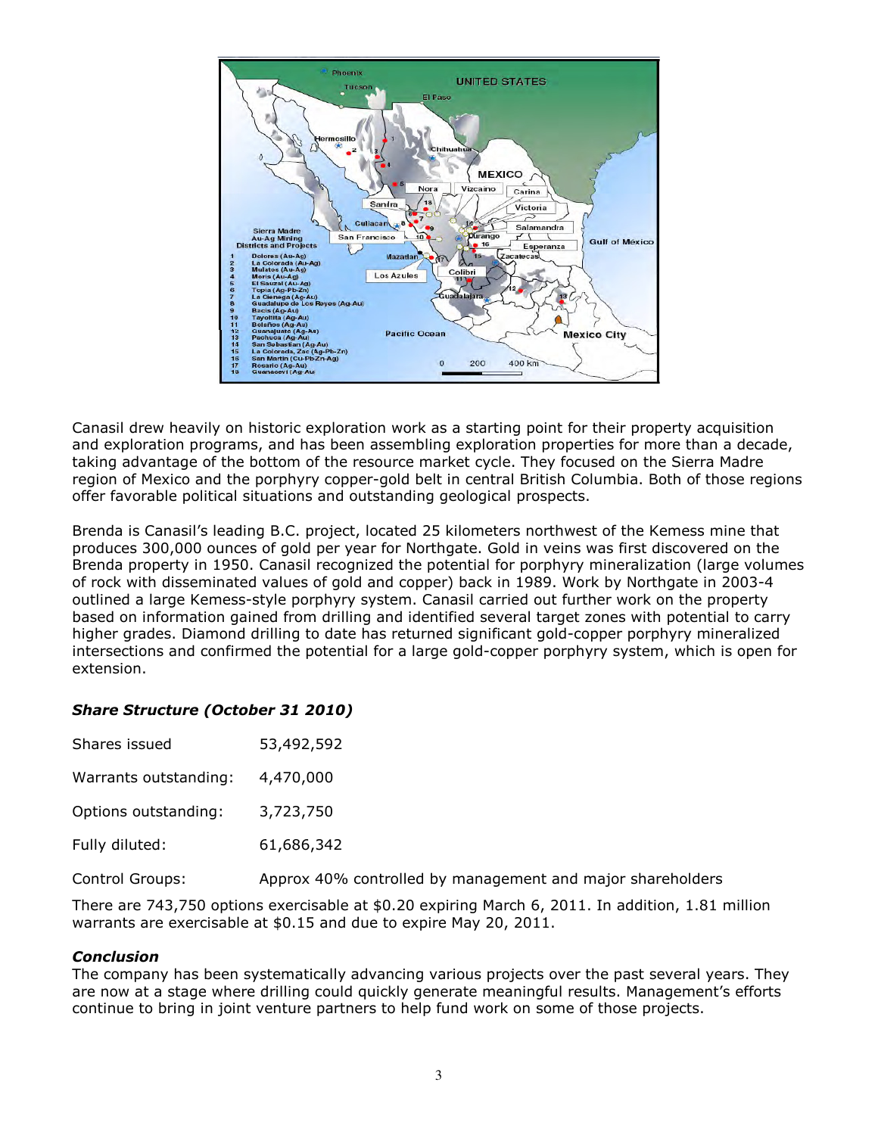

Canasil drew heavily on historic exploration work as a starting point for their property acquisition and exploration programs, and has been assembling exploration properties for more than a decade, taking advantage of the bottom of the resource market cycle. They focused on the Sierra Madre region of Mexico and the porphyry copper-gold belt in central British Columbia. Both of those regions offer favorable political situations and outstanding geological prospects.

Brenda is Canasil's leading B.C. project, located 25 kilometers northwest of the Kemess mine that produces 300,000 ounces of gold per year for Northgate. Gold in veins was first discovered on the Brenda property in 1950. Canasil recognized the potential for porphyry mineralization (large volumes of rock with disseminated values of gold and copper) back in 1989. Work by Northgate in 2003-4 outlined a large Kemess-style porphyry system. Canasil carried out further work on the property based on information gained from drilling and identified several target zones with potential to carry higher grades. Diamond drilling to date has returned significant gold-copper porphyry mineralized intersections and confirmed the potential for a large gold-copper porphyry system, which is open for extension.

### Share Structure (October 31 2010)

| Shares issued         | 53,492,592                                                 |
|-----------------------|------------------------------------------------------------|
| Warrants outstanding: | 4,470,000                                                  |
| Options outstanding:  | 3,723,750                                                  |
| Fully diluted:        | 61,686,342                                                 |
| Control Groups:       | Approx 40% controlled by management and major shareholders |
|                       |                                                            |

There are 743,750 options exercisable at \$0.20 expiring March 6, 2011. In addition, 1.81 million warrants are exercisable at \$0.15 and due to expire May 20, 2011.

### Conclusion

The company has been systematically advancing various projects over the past several years. They are now at a stage where drilling could quickly generate meaningful results. Management's efforts continue to bring in joint venture partners to help fund work on some of those projects.